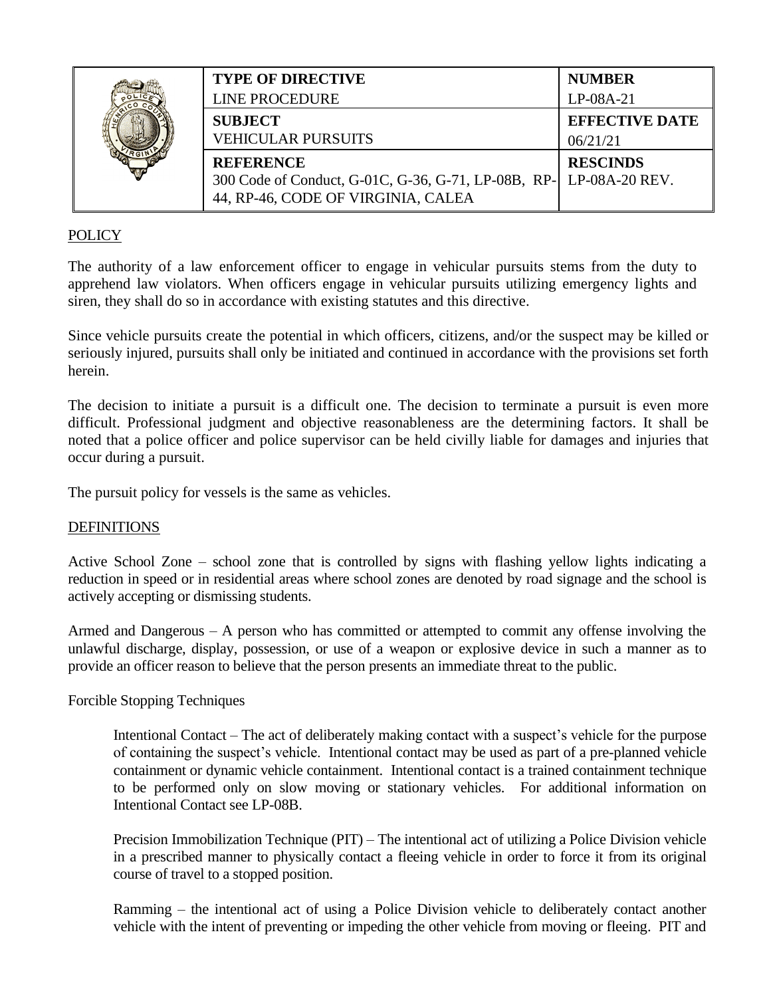|  | <b>TYPE OF DIRECTIVE</b>                                           | <b>NUMBER</b>         |
|--|--------------------------------------------------------------------|-----------------------|
|  | <b>LINE PROCEDURE</b>                                              | LP-08A-21             |
|  | <b>SUBJECT</b>                                                     | <b>EFFECTIVE DATE</b> |
|  | <b>VEHICULAR PURSUITS</b>                                          | 06/21/21              |
|  | <b>REFERENCE</b>                                                   | <b>RESCINDS</b>       |
|  | 300 Code of Conduct, G-01C, G-36, G-71, LP-08B, RP- LP-08A-20 REV. |                       |
|  | 44, RP-46, CODE OF VIRGINIA, CALEA                                 |                       |

# **POLICY**

The authority of a law enforcement officer to engage in vehicular pursuits stems from the duty to apprehend law violators. When officers engage in vehicular pursuits utilizing emergency lights and siren, they shall do so in accordance with existing statutes and this directive.

Since vehicle pursuits create the potential in which officers, citizens, and/or the suspect may be killed or seriously injured, pursuits shall only be initiated and continued in accordance with the provisions set forth herein.

The decision to initiate a pursuit is a difficult one. The decision to terminate a pursuit is even more difficult. Professional judgment and objective reasonableness are the determining factors. It shall be noted that a police officer and police supervisor can be held civilly liable for damages and injuries that occur during a pursuit.

The pursuit policy for vessels is the same as vehicles.

### **DEFINITIONS**

Active School Zone – school zone that is controlled by signs with flashing yellow lights indicating a reduction in speed or in residential areas where school zones are denoted by road signage and the school is actively accepting or dismissing students.

Armed and Dangerous – A person who has committed or attempted to commit any offense involving the unlawful discharge, display, possession, or use of a weapon or explosive device in such a manner as to provide an officer reason to believe that the person presents an immediate threat to the public.

#### Forcible Stopping Techniques

Intentional Contact – The act of deliberately making contact with a suspect's vehicle for the purpose of containing the suspect's vehicle. Intentional contact may be used as part of a pre-planned vehicle containment or dynamic vehicle containment. Intentional contact is a trained containment technique to be performed only on slow moving or stationary vehicles. For additional information on Intentional Contact see LP-08B.

Precision Immobilization Technique (PIT) – The intentional act of utilizing a Police Division vehicle in a prescribed manner to physically contact a fleeing vehicle in order to force it from its original course of travel to a stopped position.

Ramming – the intentional act of using a Police Division vehicle to deliberately contact another vehicle with the intent of preventing or impeding the other vehicle from moving or fleeing. PIT and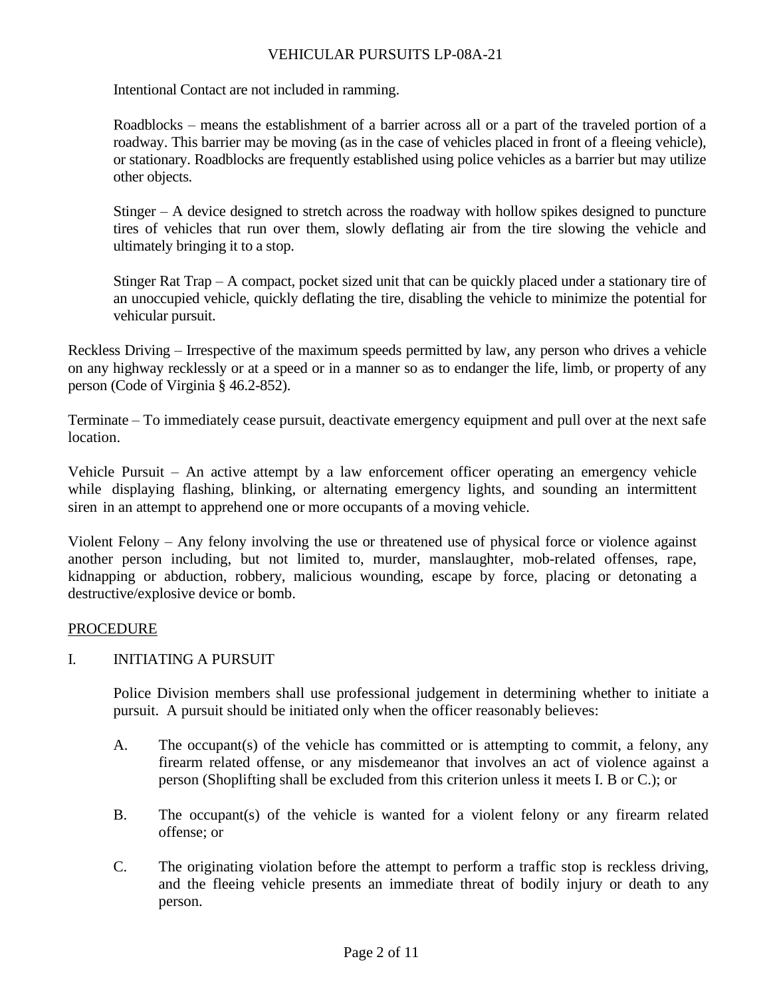Intentional Contact are not included in ramming.

Roadblocks – means the establishment of a barrier across all or a part of the traveled portion of a roadway. This barrier may be moving (as in the case of vehicles placed in front of a fleeing vehicle), or stationary. Roadblocks are frequently established using police vehicles as a barrier but may utilize other objects.

Stinger – A device designed to stretch across the roadway with hollow spikes designed to puncture tires of vehicles that run over them, slowly deflating air from the tire slowing the vehicle and ultimately bringing it to a stop.

Stinger Rat Trap – A compact, pocket sized unit that can be quickly placed under a stationary tire of an unoccupied vehicle, quickly deflating the tire, disabling the vehicle to minimize the potential for vehicular pursuit.

Reckless Driving – Irrespective of the maximum speeds permitted by law, any person who drives a vehicle on any highway recklessly or at a speed or in a manner so as to endanger the life, limb, or property of any person (Code of Virginia § 46.2-852).

Terminate – To immediately cease pursuit, deactivate emergency equipment and pull over at the next safe location.

Vehicle Pursuit – An active attempt by a law enforcement officer operating an emergency vehicle while displaying flashing, blinking, or alternating emergency lights, and sounding an intermittent siren in an attempt to apprehend one or more occupants of a moving vehicle.

Violent Felony – Any felony involving the use or threatened use of physical force or violence against another person including, but not limited to, murder, manslaughter, mob-related offenses, rape, kidnapping or abduction, robbery, malicious wounding, escape by force, placing or detonating a destructive/explosive device or bomb.

#### **PROCEDURE**

#### I. INITIATING A PURSUIT

Police Division members shall use professional judgement in determining whether to initiate a pursuit. A pursuit should be initiated only when the officer reasonably believes:

- A. The occupant(s) of the vehicle has committed or is attempting to commit, a felony, any firearm related offense, or any misdemeanor that involves an act of violence against a person (Shoplifting shall be excluded from this criterion unless it meets I. B or C.); or
- B. The occupant(s) of the vehicle is wanted for a violent felony or any firearm related offense; or
- C. The originating violation before the attempt to perform a traffic stop is reckless driving, and the fleeing vehicle presents an immediate threat of bodily injury or death to any person.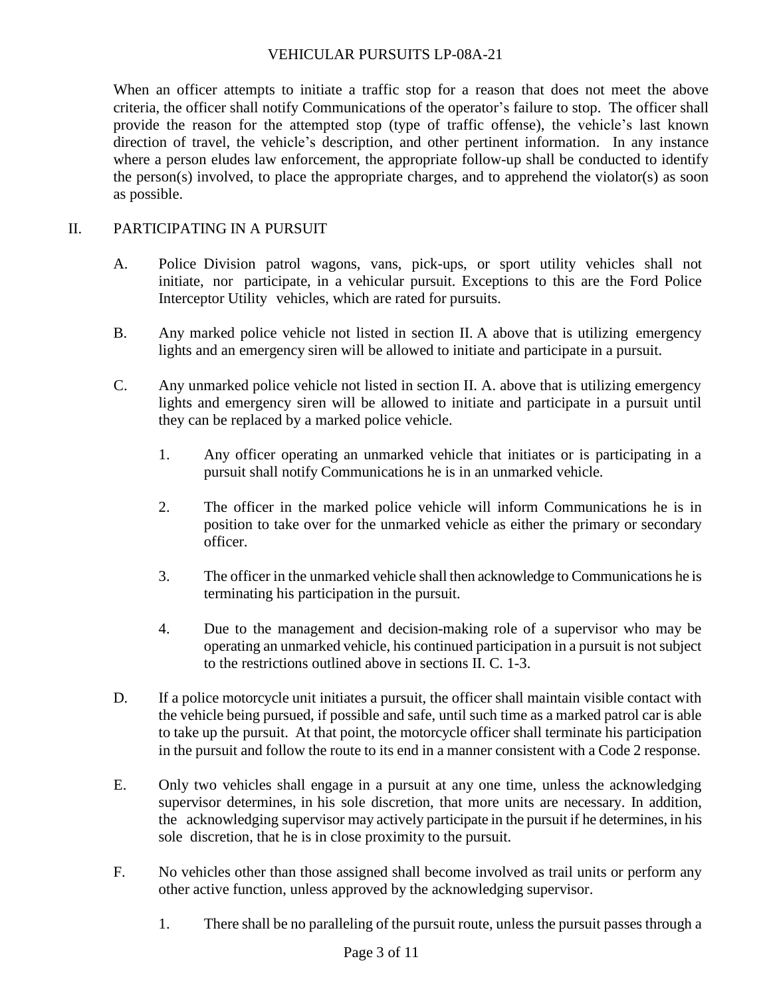When an officer attempts to initiate a traffic stop for a reason that does not meet the above criteria, the officer shall notify Communications of the operator's failure to stop. The officer shall provide the reason for the attempted stop (type of traffic offense), the vehicle's last known direction of travel, the vehicle's description, and other pertinent information. In any instance where a person eludes law enforcement, the appropriate follow-up shall be conducted to identify the person(s) involved, to place the appropriate charges, and to apprehend the violator(s) as soon as possible.

### II. PARTICIPATING IN A PURSUIT

- A. Police Division patrol wagons, vans, pick-ups, or sport utility vehicles shall not initiate, nor participate, in a vehicular pursuit. Exceptions to this are the Ford Police Interceptor Utility vehicles, which are rated for pursuits.
- B. Any marked police vehicle not listed in section II. A above that is utilizing emergency lights and an emergency siren will be allowed to initiate and participate in a pursuit.
- C. Any unmarked police vehicle not listed in section II. A. above that is utilizing emergency lights and emergency siren will be allowed to initiate and participate in a pursuit until they can be replaced by a marked police vehicle.
	- 1. Any officer operating an unmarked vehicle that initiates or is participating in a pursuit shall notify Communications he is in an unmarked vehicle.
	- 2. The officer in the marked police vehicle will inform Communications he is in position to take over for the unmarked vehicle as either the primary or secondary officer.
	- 3. The officer in the unmarked vehicle shall then acknowledge to Communications he is terminating his participation in the pursuit.
	- 4. Due to the management and decision-making role of a supervisor who may be operating an unmarked vehicle, his continued participation in a pursuit is not subject to the restrictions outlined above in sections II. C. 1-3.
- D. If a police motorcycle unit initiates a pursuit, the officer shall maintain visible contact with the vehicle being pursued, if possible and safe, until such time as a marked patrol car is able to take up the pursuit. At that point, the motorcycle officer shall terminate his participation in the pursuit and follow the route to its end in a manner consistent with a Code 2 response.
- E. Only two vehicles shall engage in a pursuit at any one time, unless the acknowledging supervisor determines, in his sole discretion, that more units are necessary. In addition, the acknowledging supervisor may actively participate in the pursuit if he determines, in his sole discretion, that he is in close proximity to the pursuit.
- F. No vehicles other than those assigned shall become involved as trail units or perform any other active function, unless approved by the acknowledging supervisor.
	- 1. There shall be no paralleling of the pursuit route, unless the pursuit passes through a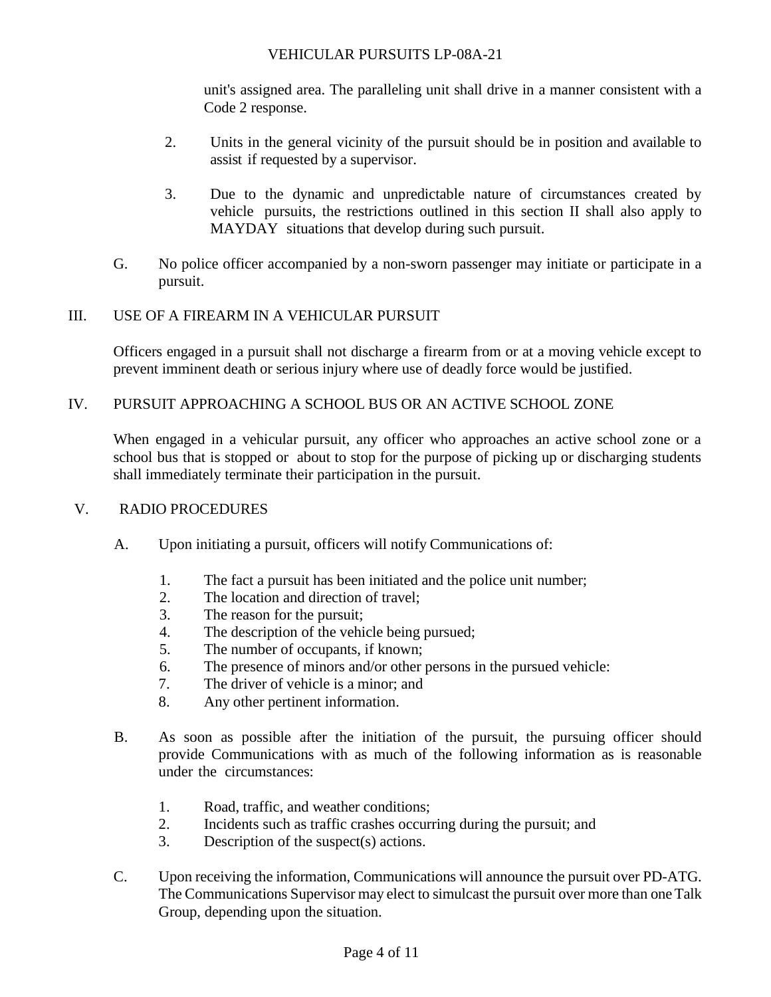unit's assigned area. The paralleling unit shall drive in a manner consistent with a Code 2 response.

- 2. Units in the general vicinity of the pursuit should be in position and available to assist if requested by a supervisor.
- 3. Due to the dynamic and unpredictable nature of circumstances created by vehicle pursuits, the restrictions outlined in this section II shall also apply to MAYDAY situations that develop during such pursuit.
- G. No police officer accompanied by a non-sworn passenger may initiate or participate in a pursuit.

### III. USE OF A FIREARM IN A VEHICULAR PURSUIT

Officers engaged in a pursuit shall not discharge a firearm from or at a moving vehicle except to prevent imminent death or serious injury where use of deadly force would be justified.

#### IV. PURSUIT APPROACHING A SCHOOL BUS OR AN ACTIVE SCHOOL ZONE

When engaged in a vehicular pursuit, any officer who approaches an active school zone or a school bus that is stopped or about to stop for the purpose of picking up or discharging students shall immediately terminate their participation in the pursuit.

#### V. RADIO PROCEDURES

- A. Upon initiating a pursuit, officers will notify Communications of:
	- 1. The fact a pursuit has been initiated and the police unit number;
	- 2. The location and direction of travel;
	- 3. The reason for the pursuit;
	- 4. The description of the vehicle being pursued;
	- 5. The number of occupants, if known;
	- 6. The presence of minors and/or other persons in the pursued vehicle:
	- 7. The driver of vehicle is a minor; and
	- 8. Any other pertinent information.
- B. As soon as possible after the initiation of the pursuit, the pursuing officer should provide Communications with as much of the following information as is reasonable under the circumstances:
	- 1. Road, traffic, and weather conditions;
	- 2. Incidents such as traffic crashes occurring during the pursuit; and
	- 3. Description of the suspect(s) actions.
- C. Upon receiving the information, Communications will announce the pursuit over PD-ATG. The Communications Supervisor may elect to simulcast the pursuit over more than one Talk Group, depending upon the situation.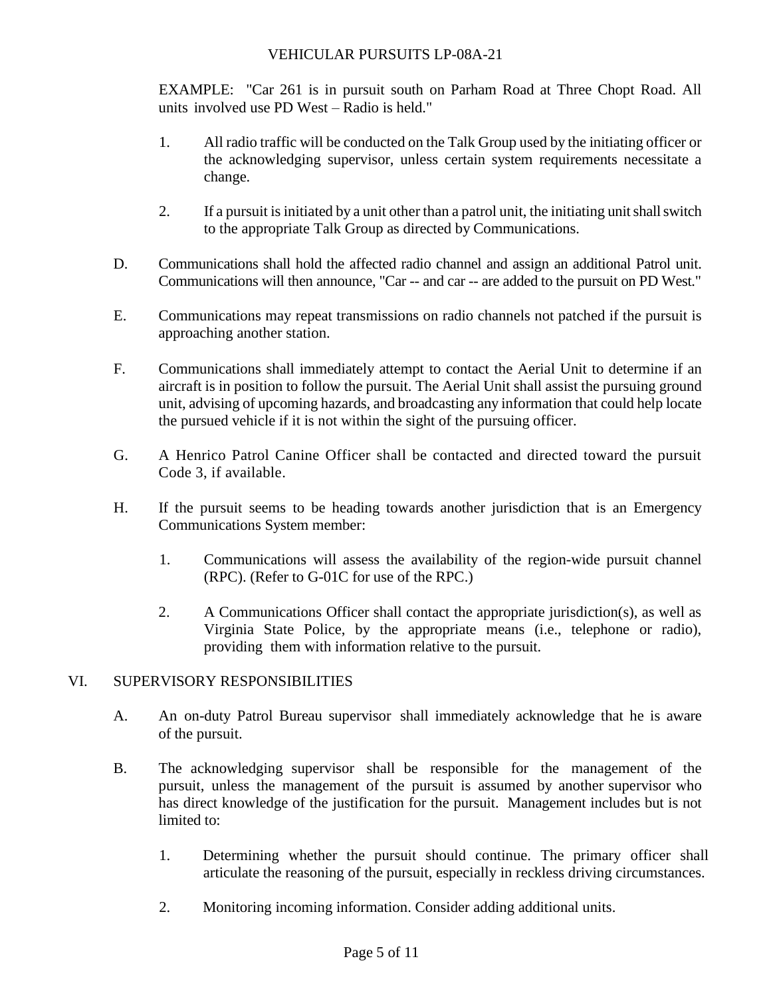EXAMPLE: "Car 261 is in pursuit south on Parham Road at Three Chopt Road. All units involved use PD West – Radio is held."

- 1. All radio traffic will be conducted on the Talk Group used by the initiating officer or the acknowledging supervisor, unless certain system requirements necessitate a change.
- 2. If a pursuit is initiated by a unit other than a patrol unit, the initiating unit shall switch to the appropriate Talk Group as directed by Communications.
- D. Communications shall hold the affected radio channel and assign an additional Patrol unit. Communications will then announce, "Car -- and car -- are added to the pursuit on PD West."
- E. Communications may repeat transmissions on radio channels not patched if the pursuit is approaching another station.
- F. Communications shall immediately attempt to contact the Aerial Unit to determine if an aircraft is in position to follow the pursuit. The Aerial Unit shall assist the pursuing ground unit, advising of upcoming hazards, and broadcasting any information that could help locate the pursued vehicle if it is not within the sight of the pursuing officer.
- G. A Henrico Patrol Canine Officer shall be contacted and directed toward the pursuit Code 3, if available.
- H. If the pursuit seems to be heading towards another jurisdiction that is an Emergency Communications System member:
	- 1. Communications will assess the availability of the region-wide pursuit channel (RPC). (Refer to G-01C for use of the RPC.)
	- 2. A Communications Officer shall contact the appropriate jurisdiction(s), as well as Virginia State Police, by the appropriate means (i.e., telephone or radio), providing them with information relative to the pursuit.

### VI. SUPERVISORY RESPONSIBILITIES

- A. An on-duty Patrol Bureau supervisor shall immediately acknowledge that he is aware of the pursuit.
- B. The acknowledging supervisor shall be responsible for the management of the pursuit, unless the management of the pursuit is assumed by another supervisor who has direct knowledge of the justification for the pursuit. Management includes but is not limited to:
	- 1. Determining whether the pursuit should continue. The primary officer shall articulate the reasoning of the pursuit, especially in reckless driving circumstances.
	- 2. Monitoring incoming information. Consider adding additional units.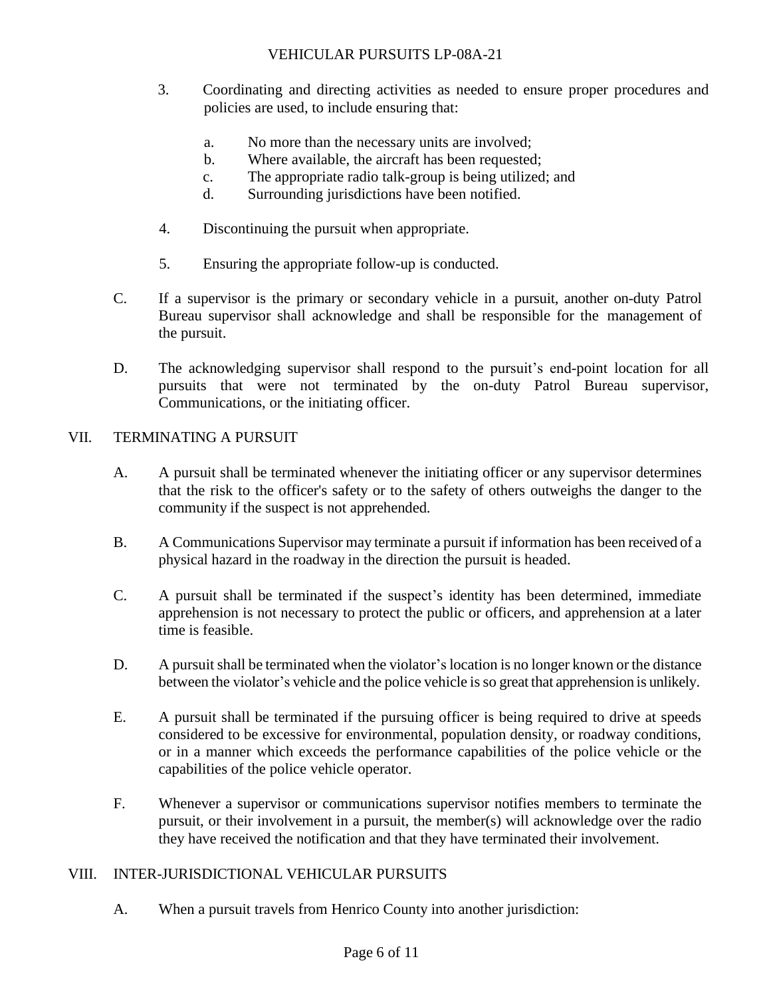- 3. Coordinating and directing activities as needed to ensure proper procedures and policies are used, to include ensuring that:
	- a. No more than the necessary units are involved;
	- b. Where available, the aircraft has been requested;
	- c. The appropriate radio talk-group is being utilized; and
	- d. Surrounding jurisdictions have been notified.
- 4. Discontinuing the pursuit when appropriate.
- 5. Ensuring the appropriate follow-up is conducted.
- C. If a supervisor is the primary or secondary vehicle in a pursuit, another on-duty Patrol Bureau supervisor shall acknowledge and shall be responsible for the management of the pursuit.
- D. The acknowledging supervisor shall respond to the pursuit's end-point location for all pursuits that were not terminated by the on-duty Patrol Bureau supervisor, Communications, or the initiating officer.

#### VII. TERMINATING A PURSUIT

- A. A pursuit shall be terminated whenever the initiating officer or any supervisor determines that the risk to the officer's safety or to the safety of others outweighs the danger to the community if the suspect is not apprehended.
- B. A Communications Supervisor may terminate a pursuit if information has been received of a physical hazard in the roadway in the direction the pursuit is headed.
- C. A pursuit shall be terminated if the suspect's identity has been determined, immediate apprehension is not necessary to protect the public or officers, and apprehension at a later time is feasible.
- D. A pursuit shall be terminated when the violator's location is no longer known or the distance between the violator's vehicle and the police vehicle isso great that apprehension is unlikely.
- E. A pursuit shall be terminated if the pursuing officer is being required to drive at speeds considered to be excessive for environmental, population density, or roadway conditions, or in a manner which exceeds the performance capabilities of the police vehicle or the capabilities of the police vehicle operator.
- F. Whenever a supervisor or communications supervisor notifies members to terminate the pursuit, or their involvement in a pursuit, the member(s) will acknowledge over the radio they have received the notification and that they have terminated their involvement.

### VIII. INTER-JURISDICTIONAL VEHICULAR PURSUITS

A. When a pursuit travels from Henrico County into another jurisdiction: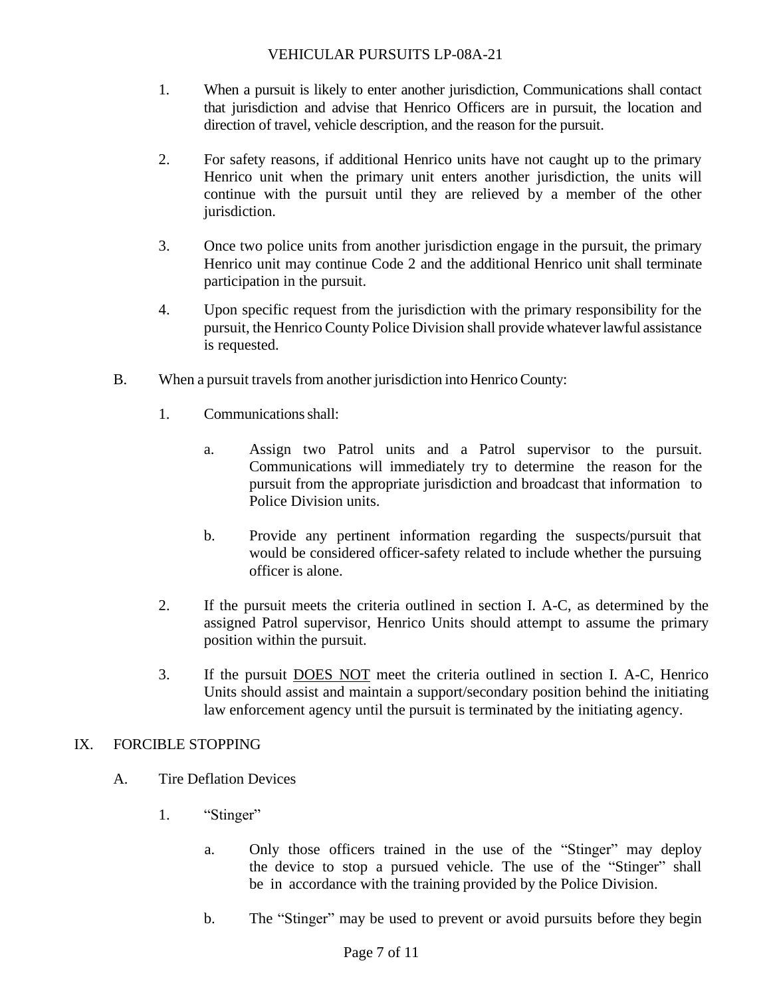- 1. When a pursuit is likely to enter another jurisdiction, Communications shall contact that jurisdiction and advise that Henrico Officers are in pursuit, the location and direction of travel, vehicle description, and the reason for the pursuit.
- 2. For safety reasons, if additional Henrico units have not caught up to the primary Henrico unit when the primary unit enters another jurisdiction, the units will continue with the pursuit until they are relieved by a member of the other jurisdiction.
- 3. Once two police units from another jurisdiction engage in the pursuit, the primary Henrico unit may continue Code 2 and the additional Henrico unit shall terminate participation in the pursuit.
- 4. Upon specific request from the jurisdiction with the primary responsibility for the pursuit, the Henrico County Police Division shall provide whateverlawful assistance is requested.
- B. When a pursuit travels from another jurisdiction into Henrico County:
	- 1. Communicationsshall:
		- a. Assign two Patrol units and a Patrol supervisor to the pursuit. Communications will immediately try to determine the reason for the pursuit from the appropriate jurisdiction and broadcast that information to Police Division units.
		- b. Provide any pertinent information regarding the suspects/pursuit that would be considered officer-safety related to include whether the pursuing officer is alone.
	- 2. If the pursuit meets the criteria outlined in section I. A-C, as determined by the assigned Patrol supervisor, Henrico Units should attempt to assume the primary position within the pursuit.
	- 3. If the pursuit DOES NOT meet the criteria outlined in section I. A-C, Henrico Units should assist and maintain a support/secondary position behind the initiating law enforcement agency until the pursuit is terminated by the initiating agency.

#### IX. FORCIBLE STOPPING

- A. Tire Deflation Devices
	- 1. "Stinger"
		- a. Only those officers trained in the use of the "Stinger" may deploy the device to stop a pursued vehicle. The use of the "Stinger" shall be in accordance with the training provided by the Police Division.
		- b. The "Stinger" may be used to prevent or avoid pursuits before they begin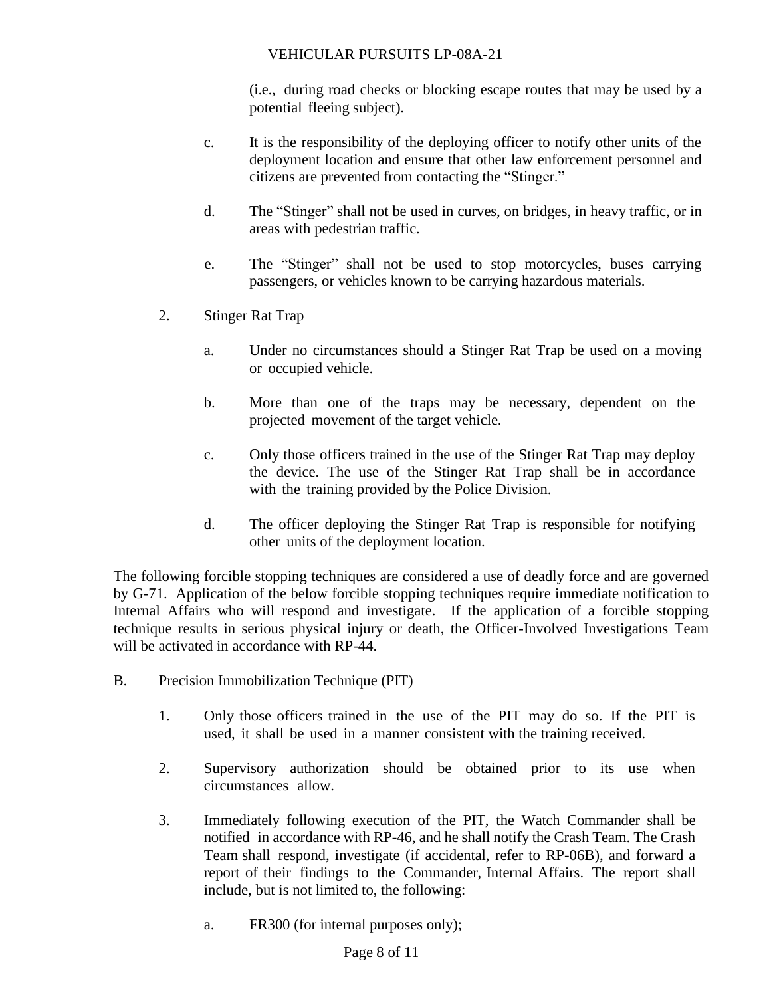(i.e., during road checks or blocking escape routes that may be used by a potential fleeing subject).

- c. It is the responsibility of the deploying officer to notify other units of the deployment location and ensure that other law enforcement personnel and citizens are prevented from contacting the "Stinger."
- d. The "Stinger" shall not be used in curves, on bridges, in heavy traffic, or in areas with pedestrian traffic.
- e. The "Stinger" shall not be used to stop motorcycles, buses carrying passengers, or vehicles known to be carrying hazardous materials.
- 2. Stinger Rat Trap
	- a. Under no circumstances should a Stinger Rat Trap be used on a moving or occupied vehicle.
	- b. More than one of the traps may be necessary, dependent on the projected movement of the target vehicle.
	- c. Only those officers trained in the use of the Stinger Rat Trap may deploy the device. The use of the Stinger Rat Trap shall be in accordance with the training provided by the Police Division.
	- d. The officer deploying the Stinger Rat Trap is responsible for notifying other units of the deployment location.

The following forcible stopping techniques are considered a use of deadly force and are governed by G-71. Application of the below forcible stopping techniques require immediate notification to Internal Affairs who will respond and investigate. If the application of a forcible stopping technique results in serious physical injury or death, the Officer-Involved Investigations Team will be activated in accordance with RP-44.

- B. Precision Immobilization Technique (PIT)
	- 1. Only those officers trained in the use of the PIT may do so. If the PIT is used, it shall be used in a manner consistent with the training received.
	- 2. Supervisory authorization should be obtained prior to its use when circumstances allow.
	- 3. Immediately following execution of the PIT, the Watch Commander shall be notified in accordance with RP-46, and he shall notify the Crash Team. The Crash Team shall respond, investigate (if accidental, refer to RP-06B), and forward a report of their findings to the Commander, Internal Affairs. The report shall include, but is not limited to, the following:
		- a. FR300 (for internal purposes only);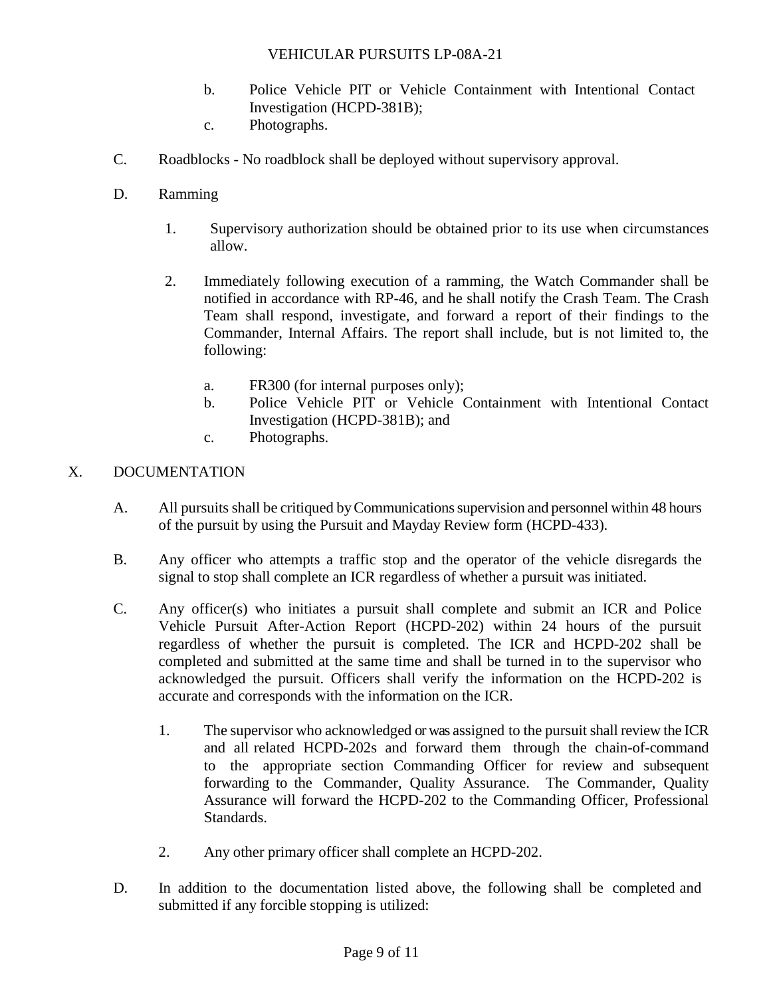- b. Police Vehicle PIT or Vehicle Containment with Intentional Contact Investigation (HCPD-381B);
- c. Photographs.
- C. Roadblocks No roadblock shall be deployed without supervisory approval.
- D. Ramming
	- 1. Supervisory authorization should be obtained prior to its use when circumstances allow.
	- 2. Immediately following execution of a ramming, the Watch Commander shall be notified in accordance with RP-46, and he shall notify the Crash Team. The Crash Team shall respond, investigate, and forward a report of their findings to the Commander, Internal Affairs. The report shall include, but is not limited to, the following:
		- a. FR300 (for internal purposes only);
		- b. Police Vehicle PIT or Vehicle Containment with Intentional Contact Investigation (HCPD-381B); and
		- c. Photographs.

### X. DOCUMENTATION

- A. All pursuits shall be critiqued by Communications supervision and personnel within 48 hours of the pursuit by using the Pursuit and Mayday Review form (HCPD-433).
- B. Any officer who attempts a traffic stop and the operator of the vehicle disregards the signal to stop shall complete an ICR regardless of whether a pursuit was initiated.
- C. Any officer(s) who initiates a pursuit shall complete and submit an ICR and Police Vehicle Pursuit After-Action Report (HCPD-202) within 24 hours of the pursuit regardless of whether the pursuit is completed. The ICR and HCPD-202 shall be completed and submitted at the same time and shall be turned in to the supervisor who acknowledged the pursuit. Officers shall verify the information on the HCPD-202 is accurate and corresponds with the information on the ICR.
	- 1. The supervisor who acknowledged or was assigned to the pursuit shall review the ICR and all related HCPD-202s and forward them through the chain-of-command to the appropriate section Commanding Officer for review and subsequent forwarding to the Commander, Quality Assurance. The Commander, Quality Assurance will forward the HCPD-202 to the Commanding Officer, Professional Standards.
	- 2. Any other primary officer shall complete an HCPD-202.
- D. In addition to the documentation listed above, the following shall be completed and submitted if any forcible stopping is utilized: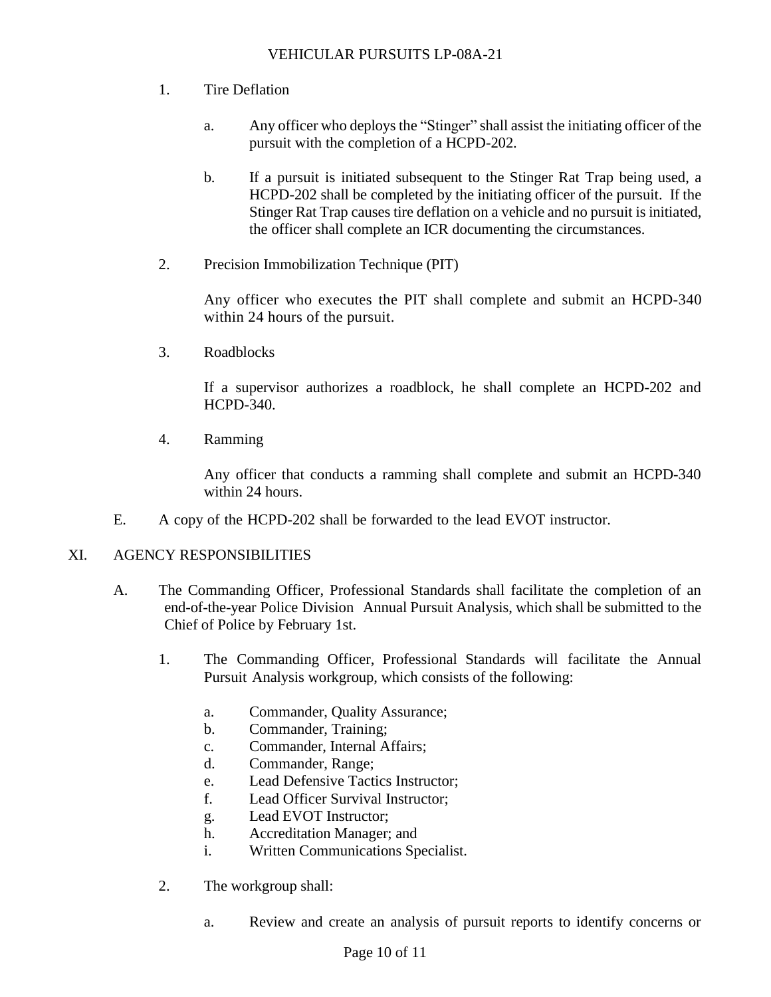- 1. Tire Deflation
	- a. Any officer who deploys the "Stinger" shall assist the initiating officer of the pursuit with the completion of a HCPD-202.
	- b. If a pursuit is initiated subsequent to the Stinger Rat Trap being used, a HCPD-202 shall be completed by the initiating officer of the pursuit. If the Stinger Rat Trap causes tire deflation on a vehicle and no pursuit is initiated, the officer shall complete an ICR documenting the circumstances.
- 2. Precision Immobilization Technique (PIT)

Any officer who executes the PIT shall complete and submit an HCPD-340 within 24 hours of the pursuit.

3. Roadblocks

If a supervisor authorizes a roadblock, he shall complete an HCPD-202 and HCPD-340.

4. Ramming

Any officer that conducts a ramming shall complete and submit an HCPD-340 within 24 hours.

E. A copy of the HCPD-202 shall be forwarded to the lead EVOT instructor.

#### XI. AGENCY RESPONSIBILITIES

- A. The Commanding Officer, Professional Standards shall facilitate the completion of an end-of-the-year Police Division Annual Pursuit Analysis, which shall be submitted to the Chief of Police by February 1st.
	- 1. The Commanding Officer, Professional Standards will facilitate the Annual Pursuit Analysis workgroup, which consists of the following:
		- a. Commander, Quality Assurance;
		- b. Commander, Training;
		- c. Commander, Internal Affairs;
		- d. Commander, Range;
		- e. Lead Defensive Tactics Instructor;
		- f. Lead Officer Survival Instructor;
		- g. Lead EVOT Instructor;
		- h. Accreditation Manager; and
		- i. Written Communications Specialist.
	- 2. The workgroup shall:
		- a. Review and create an analysis of pursuit reports to identify concerns or